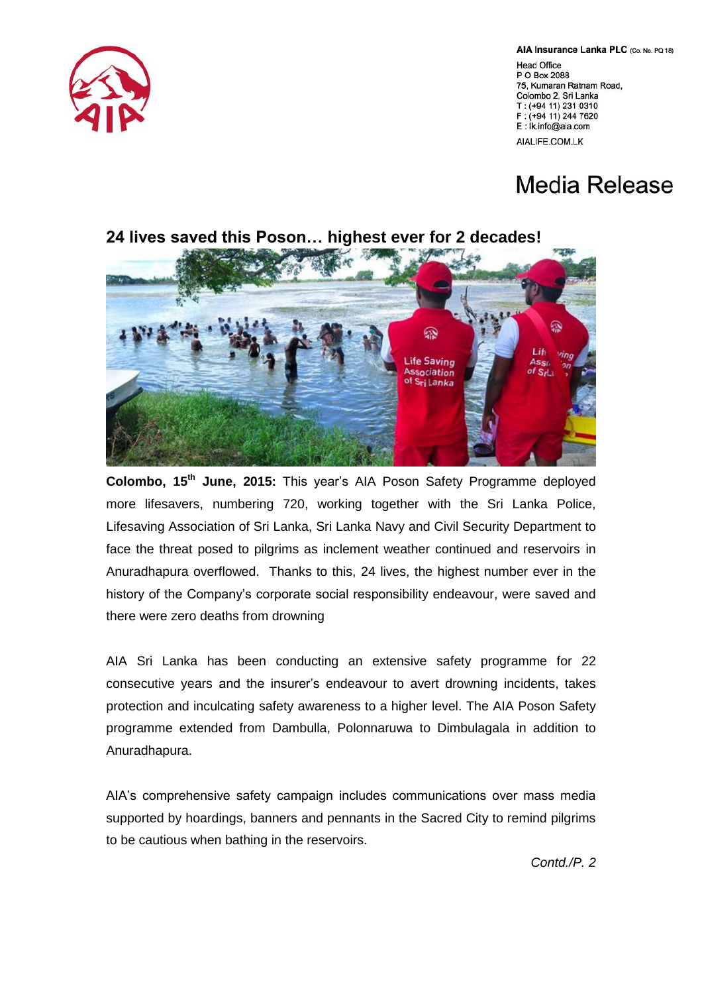## AIA Insurance Lanka PLC (Co. No. PQ 18)

Head Office P O Box 2088 75, Kumaran Ratnam Road, Colombo 2, Sri Lanka T: (+94 11) 231 0310 F: (+94 11) 244 7620 E: İk.info@aia.com AIALIFE.COM.LK

## **Media Release**



**Colombo, 15th June, 2015:** This year's AIA Poson Safety Programme deployed more lifesavers, numbering 720, working together with the Sri Lanka Police, Lifesaving Association of Sri Lanka, Sri Lanka Navy and Civil Security Department to face the threat posed to pilgrims as inclement weather continued and reservoirs in Anuradhapura overflowed. Thanks to this, 24 lives, the highest number ever in the history of the Company's corporate social responsibility endeavour, were saved and there were zero deaths from drowning

AIA Sri Lanka has been conducting an extensive safety programme for 22 consecutive years and the insurer's endeavour to avert drowning incidents, takes protection and inculcating safety awareness to a higher level. The AIA Poson Safety programme extended from Dambulla, Polonnaruwa to Dimbulagala in addition to Anuradhapura.

AIA's comprehensive safety campaign includes communications over mass media supported by hoardings, banners and pennants in the Sacred City to remind pilgrims to be cautious when bathing in the reservoirs.





*Contd./P. 2*